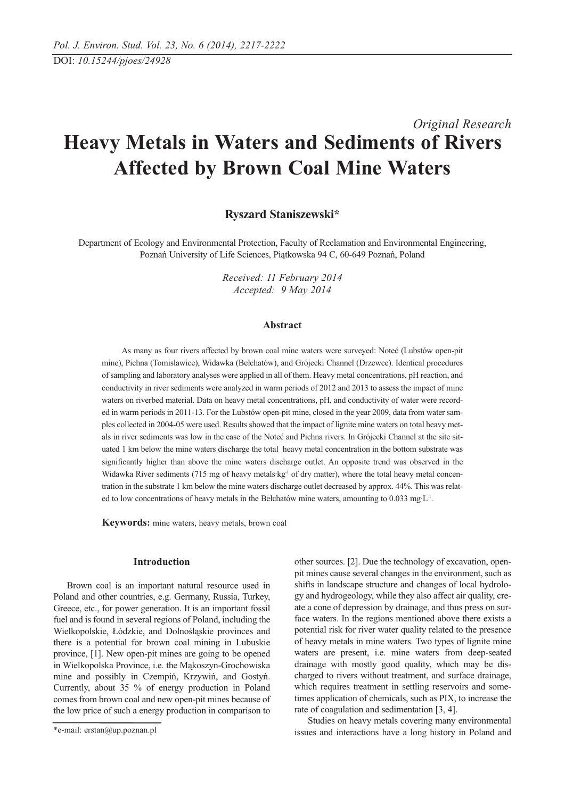# *Original Research* **Heavy Metals in Waters and Sediments of Rivers Affected by Brown Coal Mine Waters**

## **Ryszard Staniszewski\***

Department of Ecology and Environmental Protection, Faculty of Reclamation and Environmental Engineering, Poznań University of Life Sciences, Piątkowska 94 C, 60-649 Poznań, Poland

> *Received: 11 February 2014 Accepted: 9 May 2014*

## **Abstract**

As many as four rivers affected by brown coal mine waters were surveyed: Noteć (Lubstów open-pit mine), Pichna (Tomisławice), Widawka (Bełchatów), and Grójecki Channel (Drzewce). Identical procedures of sampling and laboratory analyses were applied in all of them. Heavy metal concentrations, pH reaction, and conductivity in river sediments were analyzed in warm periods of 2012 and 2013 to assess the impact of mine waters on riverbed material. Data on heavy metal concentrations, pH, and conductivity of water were recorded in warm periods in 2011-13. For the Lubstów open-pit mine, closed in the year 2009, data from water samples collected in 2004-05 were used. Results showed that the impact of lignite mine waters on total heavy metals in river sediments was low in the case of the Noteć and Pichna rivers. In Grójecki Channel at the site situated 1 km below the mine waters discharge the total heavy metal concentration in the bottom substrate was significantly higher than above the mine waters discharge outlet. An opposite trend was observed in the Widawka River sediments (715 mg of heavy metals $\text{kg}$ <sup>1</sup> of dry matter), where the total heavy metal concentration in the substrate 1 km below the mine waters discharge outlet decreased by approx. 44%. This was related to low concentrations of heavy metals in the Bełchatów mine waters, amounting to 0.033 mg $L<sup>-1</sup>$ .

**Keywords:** mine waters, heavy metals, brown coal

## **Introduction**

Brown coal is an important natural resource used in Poland and other countries, e.g. Germany, Russia, Turkey, Greece, etc., for power generation. It is an important fossil fuel and is found in several regions of Poland, including the Wielkopolskie, Łódzkie, and Dolnośląskie provinces and there is a potential for brown coal mining in Lubuskie province, [1]. New open-pit mines are going to be opened in Wielkopolska Province, i.e. the Mąkoszyn-Grochowiska mine and possibly in Czempiń, Krzywiń, and Gostyń. Currently, about 35 % of energy production in Poland comes from brown coal and new open-pit mines because of the low price of such a energy production in comparison to other sources. [2]. Due the technology of excavation, openpit mines cause several changes in the environment, such as shifts in landscape structure and changes of local hydrology and hydrogeology, while they also affect air quality, create a cone of depression by drainage, and thus press on surface waters. In the regions mentioned above there exists a potential risk for river water quality related to the presence of heavy metals in mine waters. Two types of lignite mine waters are present, i.e. mine waters from deep-seated drainage with mostly good quality, which may be discharged to rivers without treatment, and surface drainage, which requires treatment in settling reservoirs and sometimes application of chemicals, such as PIX, to increase the rate of coagulation and sedimentation [3, 4].

Studies on heavy metals covering many environmental issues and interactions have a long history in Poland and

<sup>\*</sup>e-mail: erstan@up.poznan.pl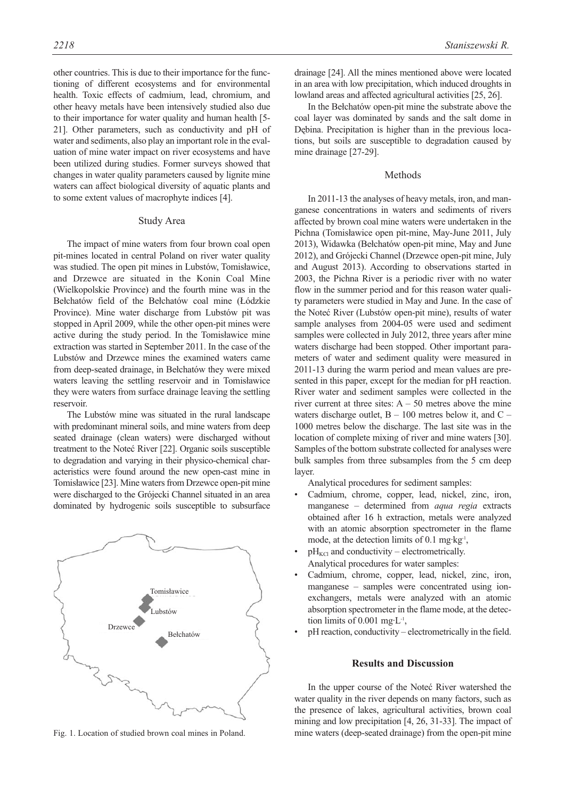other countries. This is due to their importance for the functioning of different ecosystems and for environmental health. Toxic effects of cadmium, lead, chromium, and other heavy metals have been intensively studied also due to their importance for water quality and human health [5- 21]. Other parameters, such as conductivity and pH of water and sediments, also play an important role in the evaluation of mine water impact on river ecosystems and have been utilized during studies. Former surveys showed that changes in water quality parameters caused by lignite mine waters can affect biological diversity of aquatic plants and to some extent values of macrophyte indices [4].

#### Study Area

The impact of mine waters from four brown coal open pit-mines located in central Poland on river water quality was studied. The open pit mines in Lubstów, Tomisławice, and Drzewce are situated in the Konin Coal Mine (Wielkopolskie Province) and the fourth mine was in the Bełchatów field of the Bełchatów coal mine (Łódzkie Province). Mine water discharge from Lubstów pit was stopped in April 2009, while the other open-pit mines were active during the study period. In the Tomisławice mine extraction was started in September 2011. In the case of the Lubstów and Drzewce mines the examined waters came from deep-seated drainage, in Bełchatów they were mixed waters leaving the settling reservoir and in Tomisławice they were waters from surface drainage leaving the settling reservoir.

The Lubstów mine was situated in the rural landscape with predominant mineral soils, and mine waters from deep seated drainage (clean waters) were discharged without treatment to the Noteć River [22]. Organic soils susceptible to degradation and varying in their physico-chemical characteristics were found around the new open-cast mine in Tomisławice [23]. Mine waters from Drzewce open-pit mine were discharged to the Grójecki Channel situated in an area dominated by hydrogenic soils susceptible to subsurface



Fig. 1. Location of studied brown coal mines in Poland.

drainage [24]. All the mines mentioned above were located in an area with low precipitation, which induced droughts in lowland areas and affected agricultural activities [25, 26].

In the Bełchatów open-pit mine the substrate above the coal layer was dominated by sands and the salt dome in Dębina. Precipitation is higher than in the previous locations, but soils are susceptible to degradation caused by mine drainage [27-29].

#### Methods

In 2011-13 the analyses of heavy metals, iron, and manganese concentrations in waters and sediments of rivers affected by brown coal mine waters were undertaken in the Pichna (Tomisławice open pit-mine, May-June 2011, July 2013), Widawka (Bełchatów open-pit mine, May and June 2012), and Grójecki Channel (Drzewce open-pit mine, July and August 2013). According to observations started in 2003, the Pichna River is a periodic river with no water flow in the summer period and for this reason water quality parameters were studied in May and June. In the case of the Noteć River (Lubstów open-pit mine), results of water sample analyses from 2004-05 were used and sediment samples were collected in July 2012, three years after mine waters discharge had been stopped. Other important parameters of water and sediment quality were measured in 2011-13 during the warm period and mean values are presented in this paper, except for the median for pH reaction. River water and sediment samples were collected in the river current at three sites:  $A - 50$  metres above the mine waters discharge outlet,  $B - 100$  metres below it, and  $C -$ 1000 metres below the discharge. The last site was in the location of complete mixing of river and mine waters [30]. Samples of the bottom substrate collected for analyses were bulk samples from three subsamples from the 5 cm deep layer.

Analytical procedures for sediment samples:

- Cadmium, chrome, copper, lead, nickel, zinc, iron, manganese – determined from *aqua regia* extracts obtained after 16 h extraction, metals were analyzed with an atomic absorption spectrometer in the flame mode, at the detection limits of  $0.1$  mg·kg<sup>-1</sup>,
- $pH_{\text{KCl}}$  and conductivity electrometrically. Analytical procedures for water samples:
- Cadmium, chrome, copper, lead, nickel, zinc, iron, manganese – samples were concentrated using ionexchangers, metals were analyzed with an atomic absorption spectrometer in the flame mode, at the detection limits of 0.001 mg·L-1,
- pH reaction, conductivity electrometrically in the field.

## **Results and Discussion**

In the upper course of the Noteć River watershed the water quality in the river depends on many factors, such as the presence of lakes, agricultural activities, brown coal mining and low precipitation [4, 26, 31-33]. The impact of mine waters (deep-seated drainage) from the open-pit mine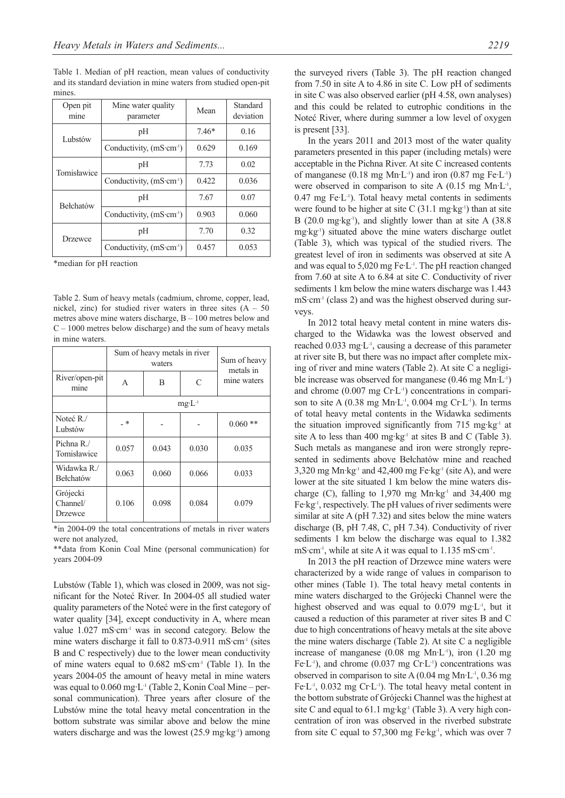Table 1. Median of pH reaction, mean values of conductivity and its standard deviation in mine waters from studied open-pit mines.

| Open pit<br>mine | Mine water quality<br>parameter | Mean    | Standard<br>deviation |
|------------------|---------------------------------|---------|-----------------------|
| Lubstów          | pH                              | $7.46*$ | 0.16                  |
|                  | Conductivity, $(mS·cm-1)$       | 0.629   | 0.169                 |
| Tomisławice      | pH                              | 7.73    | 0.02                  |
|                  | Conductivity, $(mS·cm-1)$       | 0.422   | 0.036                 |
| <b>Bełchatów</b> | pH                              | 7.67    | 0.07                  |
|                  | Conductivity, $(mS·cm-1)$       | 0.903   | 0.060                 |
| Drzewce          | pH                              | 7.70    | 0.32                  |
|                  | Conductivity, $(mS·cm-1)$       | 0.457   | 0.053                 |

\*median for pH reaction

Table 2. Sum of heavy metals (cadmium, chrome, copper, lead, nickel, zinc) for studied river waters in three sites  $(A - 50$ metres above mine waters discharge, B – 100 metres below and  $C - 1000$  metres below discharge) and the sum of heavy metals in mine waters.

|                                 | Sum of heavy metals in river<br>waters |       |       | Sum of heavy<br>metals in |  |
|---------------------------------|----------------------------------------|-------|-------|---------------------------|--|
| River/open-pit<br>mine          | A                                      | B     | C     | mine waters               |  |
|                                 | $mg \cdot L^{-1}$                      |       |       |                           |  |
| Noteć R./<br>Lubstów            | *                                      |       |       | $0.060$ **                |  |
| Pichna R./<br>Tomisławice       | 0.057                                  | 0.043 | 0.030 | 0.035                     |  |
| Widawka R./<br>Bełchatów        | 0.063                                  | 0.060 | 0.066 | 0.033                     |  |
| Grójecki<br>Channel/<br>Drzewce | 0.106                                  | 0.098 | 0.084 | 0.079                     |  |

\*in 2004-09 the total concentrations of metals in river waters were not analyzed,

\*\*data from Konin Coal Mine (personal communication) for years 2004-09

Lubstów (Table 1), which was closed in 2009, was not significant for the Noteć River. In 2004-05 all studied water quality parameters of the Noteć were in the first category of water quality [34], except conductivity in A, where mean value  $1.027 \text{ mS} \cdot \text{cm}^{-1}$  was in second category. Below the mine waters discharge it fall to  $0.873$ -0.911 mS·cm<sup>-1</sup> (sites B and C respectively) due to the lower mean conductivity of mine waters equal to  $0.682 \text{ mS} \cdot \text{cm}^{-1}$  (Table 1). In the years 2004-05 the amount of heavy metal in mine waters was equal to 0.060 mg·L-1 (Table 2, Konin Coal Mine – personal communication). Three years after closure of the Lubstów mine the total heavy metal concentration in the bottom substrate was similar above and below the mine waters discharge and was the lowest (25.9 mg·kg<sup>-1</sup>) among the surveyed rivers (Table 3). The pH reaction changed from 7.50 in site A to 4.86 in site C. Low pH of sediments in site C was also observed earlier (pH 4.58, own analyses) and this could be related to eutrophic conditions in the Noteć River, where during summer a low level of oxygen is present [33].

In the years 2011 and 2013 most of the water quality parameters presented in this paper (including metals) were acceptable in the Pichna River. At site C increased contents of manganese  $(0.18 \text{ mg Mn·L}^{-1})$  and iron  $(0.87 \text{ mg Fe·L}^{-1})$ were observed in comparison to site A (0.15 mg Mn·L-1,  $0.47$  mg Fe $\cdot$ L<sup>-1</sup>). Total heavy metal contents in sediments were found to be higher at site C  $(31.1 \text{ mg} \cdot \text{kg}^{-1})$  than at site B (20.0 mg·kg<sup>-1</sup>), and slightly lower than at site A (38.8) mg·kg-1) situated above the mine waters discharge outlet (Table 3), which was typical of the studied rivers. The greatest level of iron in sediments was observed at site A and was equal to 5,020 mg Fe·L-1. The pH reaction changed from 7.60 at site A to 6.84 at site C. Conductivity of river sediments 1 km below the mine waters discharge was 1.443  $mS·cm<sup>-1</sup>$  (class 2) and was the highest observed during surveys.

In 2012 total heavy metal content in mine waters discharged to the Widawka was the lowest observed and reached 0.033 mg·L-1, causing a decrease of this parameter at river site B, but there was no impact after complete mixing of river and mine waters (Table 2). At site C a negligible increase was observed for manganese (0.46 mg Mn·L-1) and chrome (0.007 mg Cr·L<sup>-1</sup>) concentrations in comparison to site A  $(0.38 \text{ mg Mn·L}^{-1}, 0.004 \text{ mg Cr·L}^{-1})$ . In terms of total heavy metal contents in the Widawka sediments the situation improved significantly from 715 mg·kg<sup>-1</sup> at site A to less than 400 mg·kg<sup>-1</sup> at sites B and C (Table 3). Such metals as manganese and iron were strongly represented in sediments above Bełchatów mine and reached 3,320 mg Mn·kg<sup>-1</sup> and 42,400 mg Fe·kg<sup>-1</sup> (site A), and were lower at the site situated 1 km below the mine waters discharge (C), falling to  $1,970$  mg Mn·kg<sup>-1</sup> and  $34,400$  mg Fe·kg-1, respectively. The pH values of river sediments were similar at site A (pH 7.32) and sites below the mine waters discharge (B, pH 7.48, C, pH 7.34). Conductivity of river sediments 1 km below the discharge was equal to 1.382  $\text{mS} \cdot \text{cm}^{-1}$ , while at site A it was equal to 1.135 mS $\cdot$ cm<sup>-1</sup>.

In 2013 the pH reaction of Drzewce mine waters were characterized by a wide range of values in comparison to other mines (Table 1). The total heavy metal contents in mine waters discharged to the Grójecki Channel were the highest observed and was equal to  $0.079$  mg·L<sup>-1</sup>, but it caused a reduction of this parameter at river sites B and C due to high concentrations of heavy metals at the site above the mine waters discharge (Table 2). At site C a negligible increase of manganese  $(0.08 \text{ mg Mn-L}^1)$ , iron  $(1.20 \text{ mg})$ Fe·L<sup>-1</sup>), and chrome  $(0.037 \text{ mg Cr-L}^{-1})$  concentrations was observed in comparison to site A  $(0.04 \text{ mg Mn L}^{-1}, 0.36 \text{ mg})$ Fe $\cdot$ L<sup>-1</sup>, 0.032 mg Cr $\cdot$ L<sup>-1</sup>). The total heavy metal content in the bottom substrate of Grójecki Channel was the highest at site C and equal to 61.1 mg·kg<sup>-1</sup> (Table 3). A very high concentration of iron was observed in the riverbed substrate from site C equal to  $57,300$  mg Fe·kg<sup>-1</sup>, which was over 7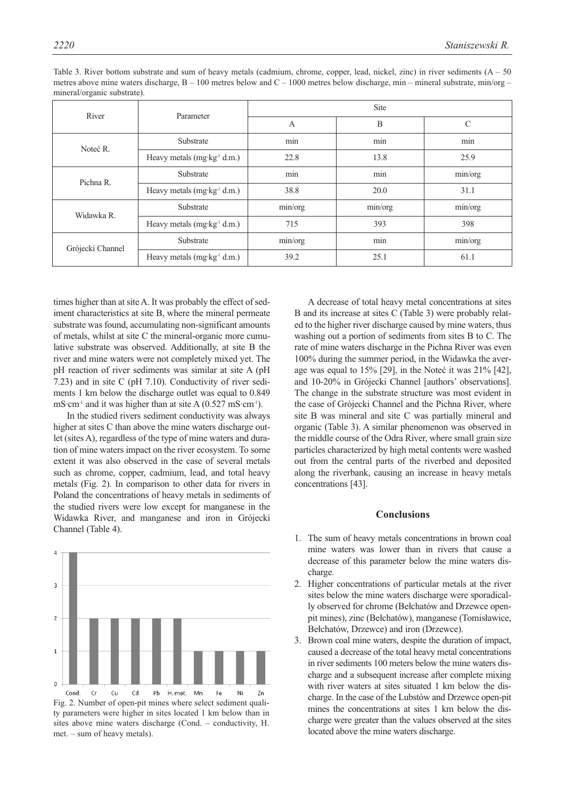| River            | Parameter                               | <b>Site</b> |         |               |
|------------------|-----------------------------------------|-------------|---------|---------------|
|                  |                                         | A           | B       | $\mathcal{C}$ |
| Noteć R.         | Substrate                               | min         | min     | min           |
|                  | Heavy metals (mg·kg <sup>-1</sup> d.m.) | 22.8        | 13.8    | 25.9          |
| Pichna R.        | Substrate                               | min         | min     | min/org       |
|                  | Heavy metals (mg·kg <sup>-1</sup> d.m.) | 38.8        | 20.0    | 31.1          |
| Widawka R.       | Substrate                               | min/org     | min/org | min/org       |
|                  | Heavy metals (mg·kg <sup>-1</sup> d.m.) | 715         | 393     | 398           |
| Grójecki Channel | Substrate                               | min/org     | min     | min/org       |
|                  | Heavy metals (mg·kg <sup>-1</sup> d.m.) | 39.2        | 25.1    | 61.1          |

Table 3. River bottom substrate and sum of heavy metals (cadmium, chrome, copper, lead, nickel, zinc) in river sediments  $(A - 50$ metres above mine waters discharge, B – 100 metres below and C – 1000 metres below discharge, min – mineral substrate, min/org – mineral/organic substrate).

times higher than at site A. It was probably the effect of sediment characteristics at site B, where the mineral permeate substrate was found, accumulating non-significant amounts of metals, whilst at site C the mineral-organic more cumulative substrate was observed. Additionally, at site B the river and mine waters were not completely mixed yet. The pH reaction of river sediments was similar at site A (pH 7.23) and in site C (pH 7.10). Conductivity of river sediments 1 km below the discharge outlet was equal to 0.849  $mS·cm<sup>-1</sup>$  and it was higher than at site A (0.527 mS·cm<sup>-1</sup>).

In the studied rivers sediment conductivity was always higher at sites C than above the mine waters discharge outlet (sites A), regardless of the type of mine waters and duration of mine waters impact on the river ecosystem. To some extent it was also observed in the case of several metals such as chrome, copper, cadmium, lead, and total heavy metals (Fig. 2). In comparison to other data for rivers in Poland the concentrations of heavy metals in sediments of the studied rivers were low except for manganese in the Widawka River, and manganese and iron in Grójecki Channel (Table 4).



Fig. 2. Number of open-pit mines where select sediment quality parameters were higher in sites located 1 km below than in sites above mine waters discharge (Cond. – conductivity, H. met. – sum of heavy metals).

A decrease of total heavy metal concentrations at sites B and its increase at sites C (Table 3) were probably related to the higher river discharge caused by mine waters, thus washing out a portion of sediments from sites B to C. The rate of mine waters discharge in the Pichna River was even 100% during the summer period, in the Widawka the average was equal to 15% [29], in the Noteć it was 21% [42], and 10-20% in Grójecki Channel [authors' observations]. The change in the substrate structure was most evident in the case of Grójecki Channel and the Pichna River, where site B was mineral and site C was partially mineral and organic (Table 3). A similar phenomenon was observed in the middle course of the Odra River, where small grain size particles characterized by high metal contents were washed out from the central parts of the riverbed and deposited along the riverbank, causing an increase in heavy metals concentrations [43].

## **Conclusions**

- 1. The sum of heavy metals concentrations in brown coal mine waters was lower than in rivers that cause a decrease of this parameter below the mine waters discharge.
- 2. Higher concentrations of particular metals at the river sites below the mine waters discharge were sporadically observed for chrome (Bełchatów and Drzewce openpit mines), zinc (Bełchatów), manganese (Tomisławice, Bełchatów, Drzewce) and iron (Drzewce).
- 3. Brown coal mine waters, despite the duration of impact, caused a decrease of the total heavy metal concentrations in river sediments 100 meters below the mine waters discharge and a subsequent increase after complete mixing with river waters at sites situated 1 km below the discharge. In the case of the Lubstów and Drzewce open-pit mines the concentrations at sites 1 km below the discharge were greater than the values observed at the sites located above the mine waters discharge.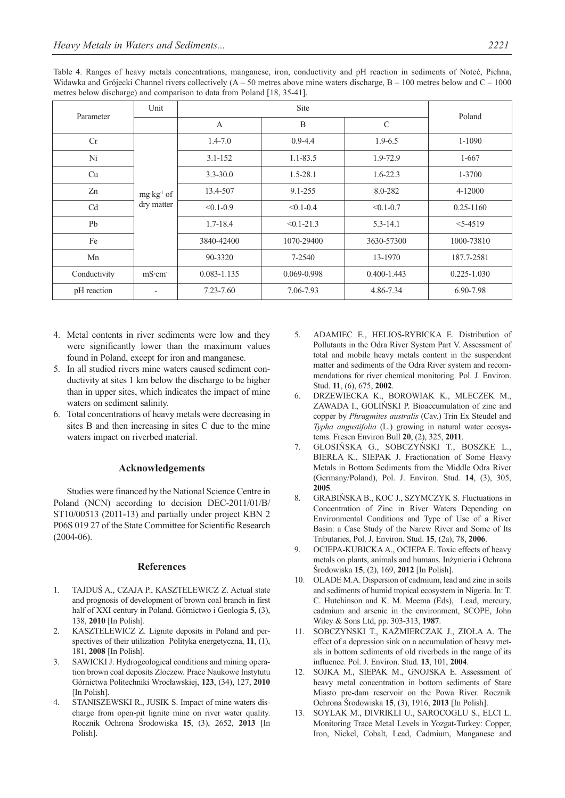Table 4. Ranges of heavy metals concentrations, manganese, iron, conductivity and pH reaction in sediments of Noteć, Pichna, Widawka and Grójecki Channel rivers collectively  $(A - 50$  metres above mine waters discharge,  $B - 100$  metres below and  $C - 1000$ metres below discharge) and comparison to data from Poland [18, 35-41].

| Parameter      | Unit                                 | <b>Site</b>     |                |                 | Poland          |
|----------------|--------------------------------------|-----------------|----------------|-----------------|-----------------|
|                |                                      | $\mathbf{A}$    | B              | $\mathcal{C}$   |                 |
| Cr             | mg·kg <sup>-1</sup> of<br>dry matter | $1.4 - 7.0$     | $0.9 - 4.4$    | $1.9 - 6.5$     | 1-1090          |
| Ni             |                                      | $3.1 - 152$     | $1.1 - 83.5$   | 1.9-72.9        | $1 - 667$       |
| Cu             |                                      | $3.3 - 30.0$    | $1.5 - 28.1$   | $1.6 - 22.3$    | 1-3700          |
| Zn             |                                      | 13.4-507        | $9.1 - 255$    | 8.0-282         | 4-12000         |
| C <sub>d</sub> |                                      | $< 0.1 - 0.9$   | $< 0.1 - 0.4$  | $< 0.1 - 0.7$   | $0.25 - 1160$   |
| Pb             |                                      | $1.7 - 18.4$    | $< 0.1 - 21.3$ | $5.3 - 14.1$    | $5 - 4519$      |
| Fe             |                                      | 3840-42400      | 1070-29400     | 3630-57300      | 1000-73810      |
| Mn             |                                      | 90-3320         | 7-2540         | 13-1970         | 187.7-2581      |
| Conductivity   | $mS·cm-1$                            | $0.083 - 1.135$ | 0.069-0.998    | $0.400 - 1.443$ | $0.225 - 1.030$ |
| pH reaction    |                                      | $7.23 - 7.60$   | 7.06-7.93      | 4.86-7.34       | 6.90-7.98       |

- 4. Metal contents in river sediments were low and they were significantly lower than the maximum values found in Poland, except for iron and manganese.
- 5. In all studied rivers mine waters caused sediment conductivity at sites 1 km below the discharge to be higher than in upper sites, which indicates the impact of mine waters on sediment salinity.
- 6. Total concentrations of heavy metals were decreasing in sites B and then increasing in sites C due to the mine waters impact on riverbed material.

### **Acknowledgements**

Studies were financed by the National Science Centre in Poland (NCN) according to decision DEC-2011/01/B/ ST10/00513 (2011-13) and partially under project KBN 2 P06S 019 27 of the State Committee for Scientific Research (2004-06).

## **References**

- 1. TAJDUŚ A., CZAJA P., KASZTELEWICZ Z. Actual state and prognosis of development of brown coal branch in first half of XXI century in Poland. Górnictwo i Geologia **5**, (3), 138, **2010** [In Polish].
- 2. KASZTELEWICZ Z. Lignite deposits in Poland and perspectives of their utilization Polityka energetyczna, **11**, (1), 181, **2008** [In Polish].
- 3. SAWICKI J. Hydrogeological conditions and mining operation brown coal deposits Złoczew. Prace Naukowe Instytutu Górnictwa Politechniki Wrocławskiej, **123**, (34), 127, **2010** [In Polish].
- 4. STANISZEWSKI R., JUSIK S. Impact of mine waters discharge from open-pit lignite mine on river water quality. Rocznik Ochrona Środowiska **15**, (3), 2652, **2013** [In Polish].
- 5. ADAMIEC E., HELIOS-RYBICKA E. Distribution of Pollutants in the Odra River System Part V. Assessment of total and mobile heavy metals content in the suspendent matter and sediments of the Odra River system and recommendations for river chemical monitoring. Pol. J. Environ. Stud. **11**, (6), 675, **2002**.
- 6. DRZEWIECKA K., BOROWIAK K., MLECZEK M., ZAWADA I., GOLIŃSKI P. Bioaccumulation of zinc and copper by *Phragmites australis* (Cav.) Trin Ex Steudel and *Typha angustifolia* (L.) growing in natural water ecosystems. Fresen Environ Bull **20**, (2), 325, **2011**.
- 7. GŁOSIŃSKA G., SOBCZYŃSKI T., BOSZKE L., BIERŁA K., SIEPAK J. Fractionation of Some Heavy Metals in Bottom Sediments from the Middle Odra River (Germany/Poland), Pol. J. Environ. Stud. **14**, (3), 305, **2005**.
- 8. GRABIŃSKA B., KOC J., SZYMCZYK S. Fluctuations in Concentration of Zinc in River Waters Depending on Environmental Conditions and Type of Use of a River Basin: a Case Study of the Narew River and Some of Its Tributaries, Pol. J. Environ. Stud. **15**, (2a), 78, **2006**.
- 9. OCIEPA-KUBICKA A., OCIEPA E. Toxic effects of heavy metals on plants, animals and humans. Inżynieria i Ochrona Środowiska **15**, (2), 169, **2012** [In Polish].
- 10. OLADE M.A. Dispersion of cadmium, lead and zinc in soils and sediments of humid tropical ecosystem in Nigeria. In: T. C. Hutchinson and K. M. Meema (Eds), Lead, mercury, cadmium and arsenic in the environment, SCOPE, John Wiley & Sons Ltd, pp. 303-313, **1987**.
- 11. SOBCZYŃSKI T., KAŹMIERCZAK J., ZIOŁA A. The effect of a depression sink on a accumulation of heavy metals in bottom sediments of old riverbeds in the range of its influence. Pol. J. Environ. Stud. **13**, 101, **2004**.
- 12. SOJKA M., SIEPAK M., GNOJSKA E. Assessment of heavy metal concentration in bottom sediments of Stare Miasto pre-dam reservoir on the Powa River. Rocznik Ochrona Środowiska **15**, (3), 1916, **2013** [In Polish].
- 13. SOYLAK M., DIVRIKLI U., SAROCOGLU S., ELCI L. Monitoring Trace Metal Levels in Yozgat-Turkey: Copper, Iron, Nickel, Cobalt, Lead, Cadmium, Manganese and